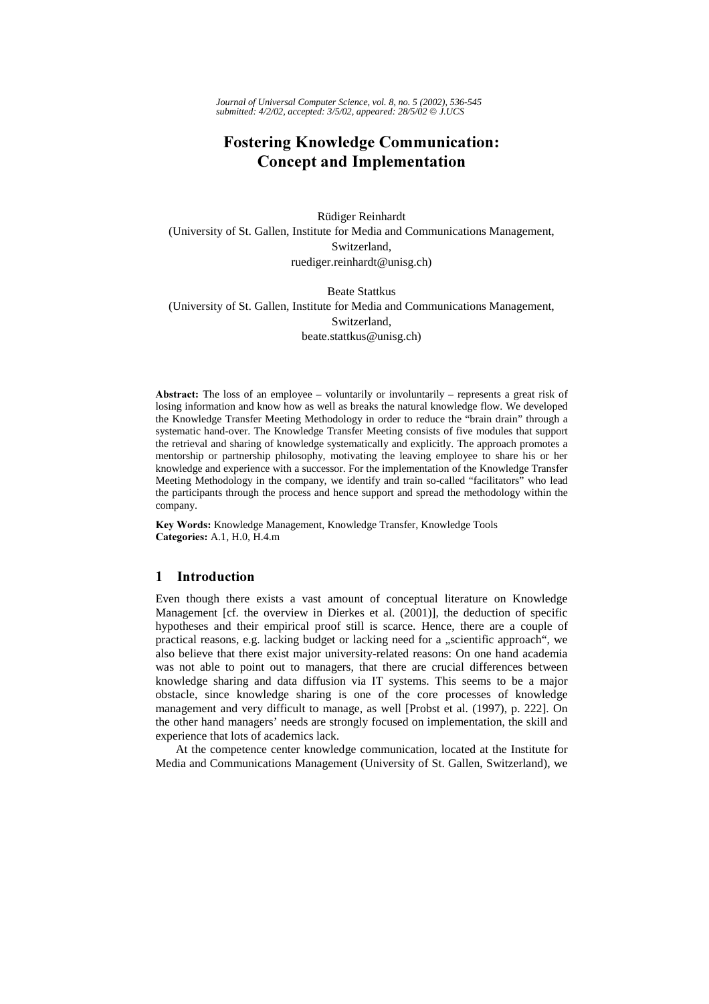*Journal of Universal Computer Science, vol. 8, no. 5 (2002), 536-545 submitted: 4/2/02, accepted: 3/5/02, appeared: 28/5/02 J.UCS*

# **Fostering Knowledge Communication: Concept and Implementation**

Rüdiger Reinhardt (University of St. Gallen, Institute for Media and Communications Management, Switzerland, ruediger.reinhardt@unisg.ch)

Beate Stattkus (University of St. Gallen, Institute for Media and Communications Management, Switzerland, beate.stattkus@unisg.ch)

**Abstract:** The loss of an employee – voluntarily or involuntarily – represents a great risk of losing information and know how as well as breaks the natural knowledge flow. We developed the Knowledge Transfer Meeting Methodology in order to reduce the "brain drain" through a systematic hand-over. The Knowledge Transfer Meeting consists of five modules that support the retrieval and sharing of knowledge systematically and explicitly. The approach promotes a mentorship or partnership philosophy, motivating the leaving employee to share his or her knowledge and experience with a successor. For the implementation of the Knowledge Transfer Meeting Methodology in the company, we identify and train so-called "facilitators" who lead the participants through the process and hence support and spread the methodology within the company.

Key Words: Knowledge Management, Knowledge Transfer, Knowledge Tools Categories: A.1, H.0, H.4.m

# $\mathbf{1}$ Introduction

Even though there exists a vast amount of conceptual literature on Knowledge Management [cf. the overview in Dierkes et al. (2001)], the deduction of specific hypotheses and their empirical proof still is scarce. Hence, there are a couple of practical reasons, e.g. lacking budget or lacking need for a "scientific approach", we also believe that there exist major university-related reasons: On one hand academia was not able to point out to managers, that there are crucial differences between knowledge sharing and data diffusion via IT systems. This seems to be a major obstacle, since knowledge sharing is one of the core processes of knowledge management and very difficult to manage, as well [Probst et al. (1997), p. 222]. On the other hand managers' needs are strongly focused on implementation, the skill and experience that lots of academics lack.

At the competence center knowledge communication, located at the Institute for Media and Communications Management (University of St. Gallen, Switzerland), we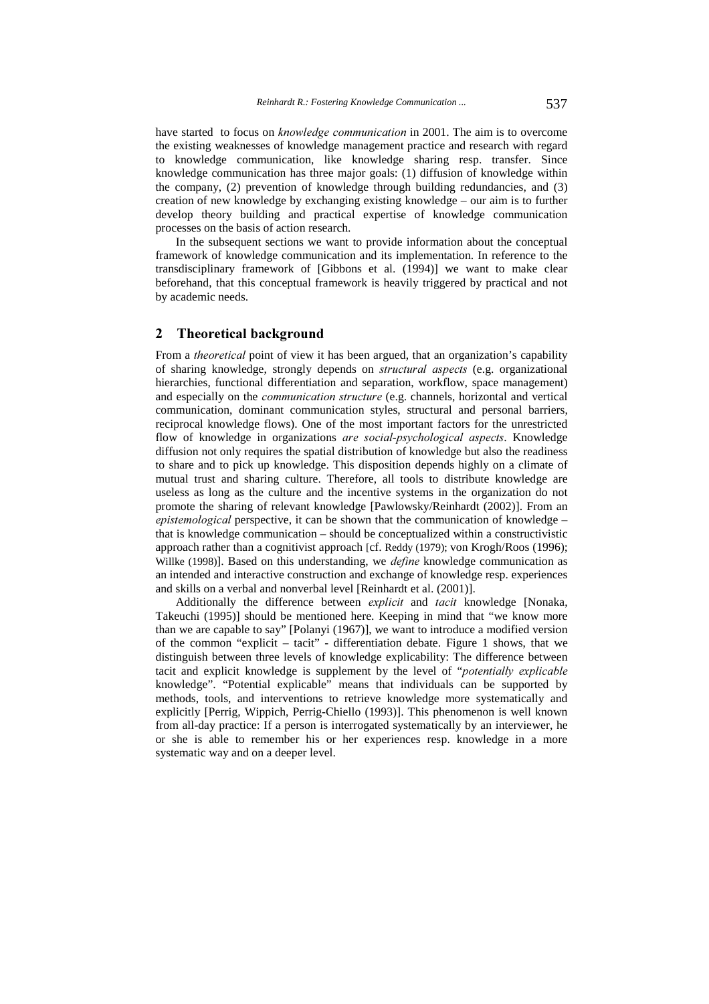have started to focus on *knowledge communication* in 2001. The aim is to overcome the existing weaknesses of knowledge management practice and research with regard to knowledge communication, like knowledge sharing resp. transfer. Since knowledge communication has three major goals: (1) diffusion of knowledge within the company, (2) prevention of knowledge through building redundancies, and (3) creation of new knowledge by exchanging existing knowledge – our aim is to further develop theory building and practical expertise of knowledge communication processes on the basis of action research.

In the subsequent sections we want to provide information about the conceptual framework of knowledge communication and its implementation. In reference to the transdisciplinary framework of [Gibbons et al. (1994)] we want to make clear beforehand, that this conceptual framework is heavily triggered by practical and not by academic needs.

# $\overline{2}$ **Theoretical background**

From a *theoretical* point of view it has been argued, that an organization's capability of sharing knowledge, strongly depends on structural aspects (e.g. organizational hierarchies, functional differentiation and separation, workflow, space management) and especially on the *communication structure* (e.g. channels, horizontal and vertical communication, dominant communication styles, structural and personal barriers, reciprocal knowledge flows). One of the most important factors for the unrestricted flow of knowledge in organizations are social-psychological aspects. Knowledge diffusion not only requires the spatial distribution of knowledge but also the readiness to share and to pick up knowledge. This disposition depends highly on a climate of mutual trust and sharing culture. Therefore, all tools to distribute knowledge are useless as long as the culture and the incentive systems in the organization do not promote the sharing of relevant knowledge [Pawlowsky/Reinhardt (2002)]. From an epistemological perspective, it can be shown that the communication of knowledge that is knowledge communication – should be conceptualized within a constructivistic approach rather than a cognitivist approach [cf. Reddy (1979); von Krogh/Roos (1996); Willke (1998)]. Based on this understanding, we *define* knowledge communication as an intended and interactive construction and exchange of knowledge resp. experiences and skills on a verbal and nonverbal level [Reinhardt et al. (2001)].

Additionally the difference between explicit and tacit knowledge [Nonaka, Takeuchi (1995)] should be mentioned here. Keeping in mind that "we know more than we are capable to say" [Polanyi (1967)], we want to introduce a modified version of the common "explicit – tacit" - differentiation debate. Figure 1 shows, that we distinguish between three levels of knowledge explicability: The difference between tacit and explicit knowledge is supplement by the level of "potentially explicable knowledge". "Potential explicable" means that individuals can be supported by methods, tools, and interventions to retrieve knowledge more systematically and explicitly [Perrig, Wippich, Perrig-Chiello (1993)]. This phenomenon is well known from all-day practice: If a person is interrogated systematically by an interviewer, he or she is able to remember his or her experiences resp. knowledge in a more systematic way and on a deeper level.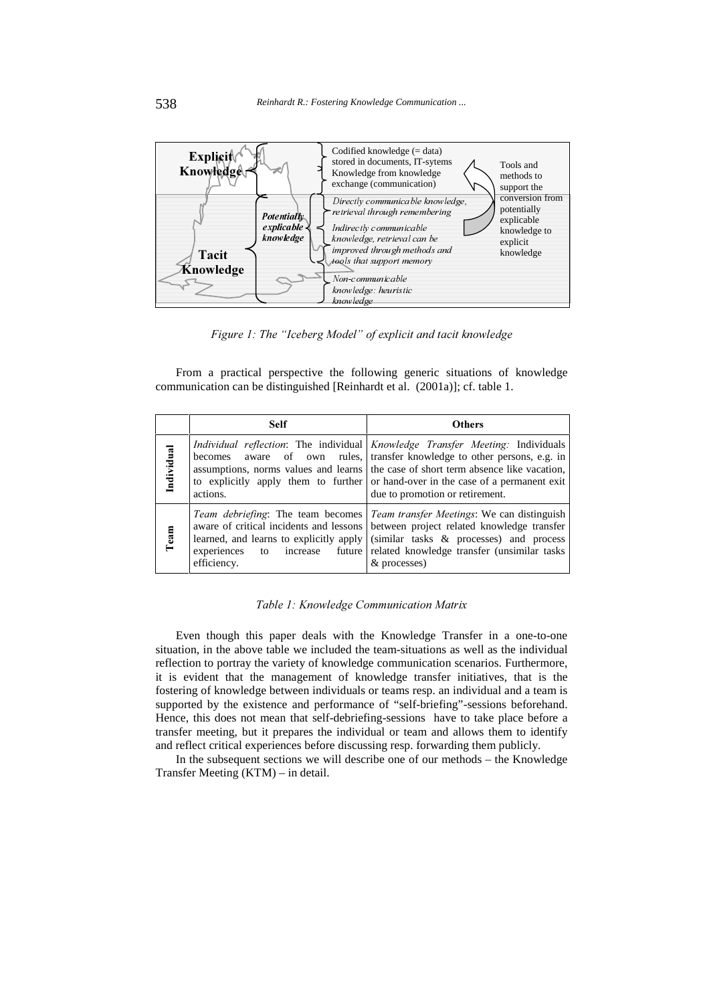

Figure 1: The "Iceberg Model" of explicit and tacit knowledge

From a practical perspective the following generic situations of knowledge communication can be distinguished [Reinhardt et al. (2001a)]; cf. table 1.

|            | <b>Self</b>                               | <b>Others</b>                                                                                                                                                                                                                                                                                                                                                                        |
|------------|-------------------------------------------|--------------------------------------------------------------------------------------------------------------------------------------------------------------------------------------------------------------------------------------------------------------------------------------------------------------------------------------------------------------------------------------|
| Individual | actions.                                  | <i>Individual reflection:</i> The individual <i>Knowledge Transfer Meeting:</i> Individuals<br>becomes aware of own rules, transfer knowledge to other persons, e.g. in<br>assumptions, norms values and learns the case of short term absence like vacation,<br>to explicitly apply them to further or hand-over in the case of a permanent exit<br>due to promotion or retirement. |
| Team       | to increase<br>experiences<br>efficiency. | <i>Team debriefing:</i> The team becomes <i>Team transfer Meetings:</i> We can distinguish<br>aware of critical incidents and lessons between project related knowledge transfer<br>learned, and learns to explicitly apply $\vert$ (similar tasks & processes) and process<br>future related knowledge transfer (unsimilar tasks<br>& processes)                                    |

# Table 1: Knowledge Communication Matrix

Even though this paper deals with the Knowledge Transfer in a one-to-one situation, in the above table we included the team-situations as well as the individual reflection to portray the variety of knowledge communication scenarios. Furthermore, it is evident that the management of knowledge transfer initiatives, that is the fostering of knowledge between individuals or teams resp. an individual and a team is supported by the existence and performance of "self-briefing"-sessions beforehand. Hence, this does not mean that self-debriefing-sessions have to take place before a transfer meeting, but it prepares the individual or team and allows them to identify and reflect critical experiences before discussing resp. forwarding them publicly.

In the subsequent sections we will describe one of our methods – the Knowledge Transfer Meeting (KTM) – in detail.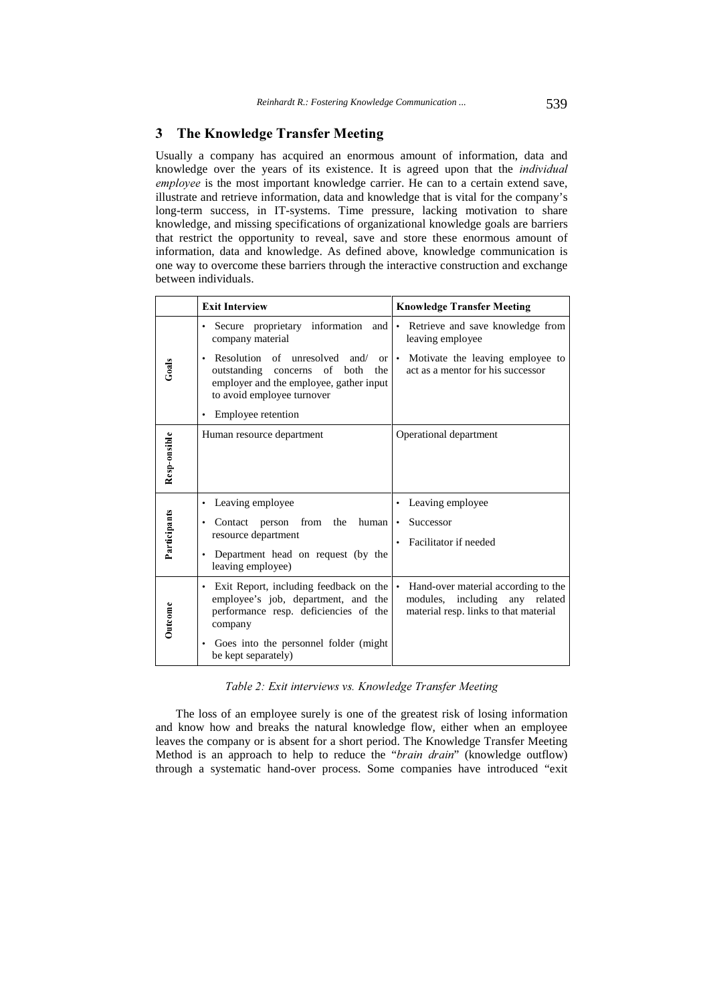# & The Knowledge Transfer Meeting

Usually a company has acquired an enormous amount of information, data and knowledge over the years of its existence. It is agreed upon that the *individual* employee is the most important knowledge carrier. He can to a certain extend save, illustrate and retrieve information, data and knowledge that is vital for the company's long-term success, in IT-systems. Time pressure, lacking motivation to share knowledge, and missing specifications of organizational knowledge goals are barriers that restrict the opportunity to reveal, save and store these enormous amount of information, data and knowledge. As defined above, knowledge communication is one way to overcome these barriers through the interactive construction and exchange between individuals.

|              | <b>Exit Interview</b>                                                                                                                                                 | <b>Knowledge Transfer Meeting</b>                                                                                           |
|--------------|-----------------------------------------------------------------------------------------------------------------------------------------------------------------------|-----------------------------------------------------------------------------------------------------------------------------|
| Goals        | proprietary information<br>Secure<br>and<br>company material                                                                                                          | Retrieve and save knowledge from<br>$\bullet$<br>leaving employee                                                           |
|              | Resolution of unresolved and/<br><b>or</b><br>٠<br>outstanding<br>concerns of<br>both<br>the<br>employer and the employee, gather input<br>to avoid employee turnover | • Motivate the leaving employee to<br>act as a mentor for his successor                                                     |
|              | Employee retention                                                                                                                                                    |                                                                                                                             |
| Resp-onsible | Human resource department                                                                                                                                             | Operational department                                                                                                      |
|              | Leaving employee<br>٠                                                                                                                                                 | Leaving employee<br>$\bullet$                                                                                               |
| Participants | from<br>the<br>Contact<br>person<br>human<br>٠<br>resource department<br>Department head on request (by the<br>leaving employee)                                      | Successor<br>$\bullet$<br>Facilitator if needed<br>$\bullet$                                                                |
| Outcome      | Exit Report, including feedback on the<br>٠<br>employee's job, department, and the<br>performance resp. deficiencies of the<br>company                                | Hand-over material according to the<br>$\bullet$<br>modules, including any related<br>material resp. links to that material |
|              | Goes into the personnel folder (might)<br>٠<br>be kept separately)                                                                                                    |                                                                                                                             |

Table 2: Exit interviews vs. Knowledge Transfer Meeting

The loss of an employee surely is one of the greatest risk of losing information and know how and breaks the natural knowledge flow, either when an employee leaves the company or is absent for a short period. The Knowledge Transfer Meeting Method is an approach to help to reduce the "brain drain" (knowledge outflow) through a systematic hand-over process. Some companies have introduced "exit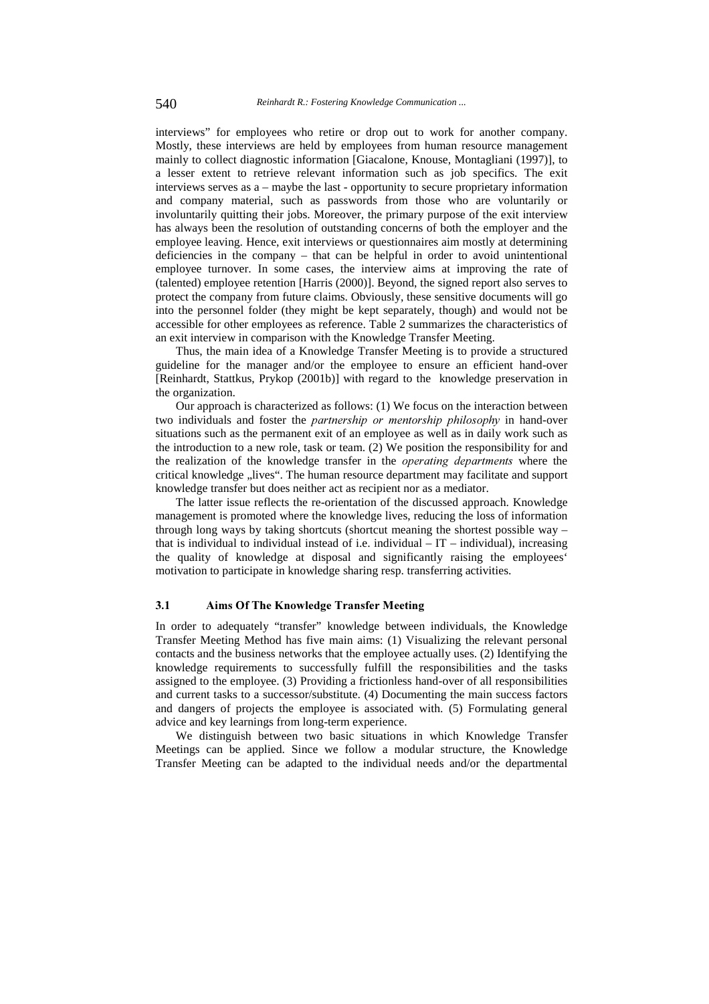interviews" for employees who retire or drop out to work for another company. Mostly, these interviews are held by employees from human resource management mainly to collect diagnostic information [Giacalone, Knouse, Montagliani (1997)], to a lesser extent to retrieve relevant information such as job specifics. The exit interviews serves as a – maybe the last - opportunity to secure proprietary information and company material, such as passwords from those who are voluntarily or involuntarily quitting their jobs. Moreover, the primary purpose of the exit interview has always been the resolution of outstanding concerns of both the employer and the employee leaving. Hence, exit interviews or questionnaires aim mostly at determining deficiencies in the company – that can be helpful in order to avoid unintentional employee turnover. In some cases, the interview aims at improving the rate of (talented) employee retention [Harris (2000)]. Beyond, the signed report also serves to protect the company from future claims. Obviously, these sensitive documents will go into the personnel folder (they might be kept separately, though) and would not be accessible for other employees as reference. Table 2 summarizes the characteristics of an exit interview in comparison with the Knowledge Transfer Meeting.

Thus, the main idea of a Knowledge Transfer Meeting is to provide a structured guideline for the manager and/or the employee to ensure an efficient hand-over [Reinhardt, Stattkus, Prykop (2001b)] with regard to the knowledge preservation in the organization.

Our approach is characterized as follows: (1) We focus on the interaction between two individuals and foster the *partnership or mentorship philosophy* in hand-over situations such as the permanent exit of an employee as well as in daily work such as the introduction to a new role, task or team. (2) We position the responsibility for and the realization of the knowledge transfer in the *operating departments* where the critical knowledge "lives". The human resource department may facilitate and support knowledge transfer but does neither act as recipient nor as a mediator.

The latter issue reflects the re-orientation of the discussed approach. Knowledge management is promoted where the knowledge lives, reducing the loss of information through long ways by taking shortcuts (shortcut meaning the shortest possible way – that is individual to individual instead of i.e. individual  $-IT$  – individual), increasing the quality of knowledge at disposal and significantly raising the employees' motivation to participate in knowledge sharing resp. transferring activities.

#### $3.1$ Aims Of The Knowledge Transfer Meeting

In order to adequately "transfer" knowledge between individuals, the Knowledge Transfer Meeting Method has five main aims: (1) Visualizing the relevant personal contacts and the business networks that the employee actually uses. (2) Identifying the knowledge requirements to successfully fulfill the responsibilities and the tasks assigned to the employee. (3) Providing a frictionless hand-over of all responsibilities and current tasks to a successor/substitute. (4) Documenting the main success factors and dangers of projects the employee is associated with. (5) Formulating general advice and key learnings from long-term experience.

We distinguish between two basic situations in which Knowledge Transfer Meetings can be applied. Since we follow a modular structure, the Knowledge Transfer Meeting can be adapted to the individual needs and/or the departmental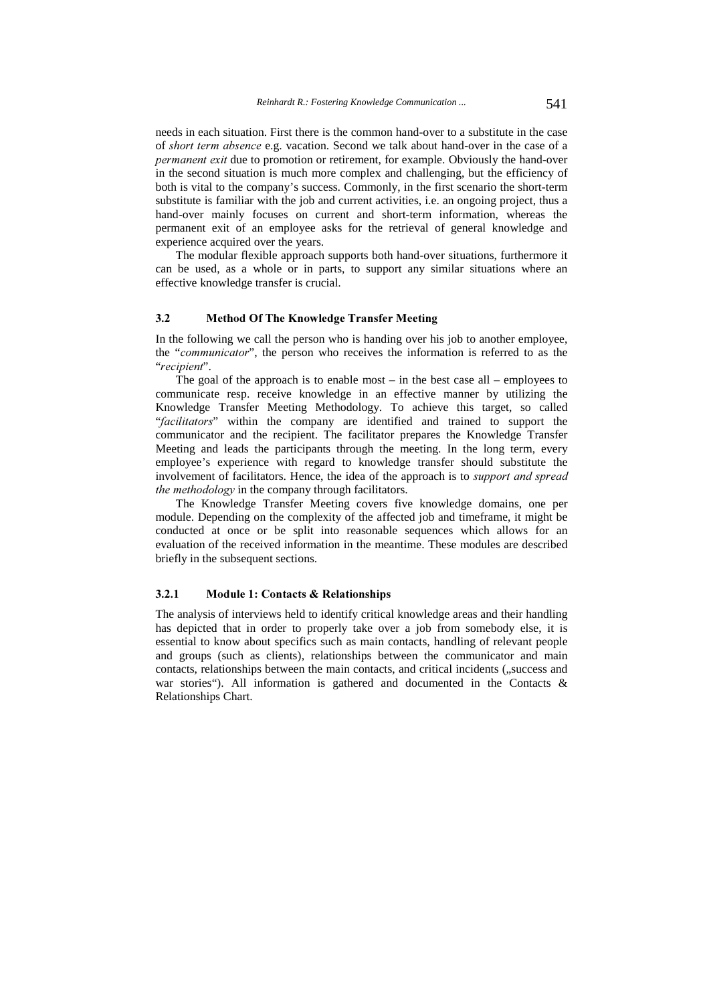needs in each situation. First there is the common hand-over to a substitute in the case of short term absence e.g. vacation. Second we talk about hand-over in the case of a permanent exit due to promotion or retirement, for example. Obviously the hand-over in the second situation is much more complex and challenging, but the efficiency of both is vital to the company's success. Commonly, in the first scenario the short-term substitute is familiar with the job and current activities, i.e. an ongoing project, thus a hand-over mainly focuses on current and short-term information, whereas the permanent exit of an employee asks for the retrieval of general knowledge and experience acquired over the years.

The modular flexible approach supports both hand-over situations, furthermore it can be used, as a whole or in parts, to support any similar situations where an effective knowledge transfer is crucial.

#### $3.2$ Method Of The Knowledge Transfer Meeting

In the following we call the person who is handing over his job to another employee, the "communicator", the person who receives the information is referred to as the "recipient".

The goal of the approach is to enable most – in the best case all – employees to communicate resp. receive knowledge in an effective manner by utilizing the Knowledge Transfer Meeting Methodology. To achieve this target, so called "facilitators" within the company are identified and trained to support the communicator and the recipient. The facilitator prepares the Knowledge Transfer Meeting and leads the participants through the meeting. In the long term, every employee's experience with regard to knowledge transfer should substitute the involvement of facilitators. Hence, the idea of the approach is to *support and spread* the methodology in the company through facilitators.

The Knowledge Transfer Meeting covers five knowledge domains, one per module. Depending on the complexity of the affected job and timeframe, it might be conducted at once or be split into reasonable sequences which allows for an evaluation of the received information in the meantime. These modules are described briefly in the subsequent sections.

### $3.2.1$ Module 1: Contacts & Relationships

The analysis of interviews held to identify critical knowledge areas and their handling has depicted that in order to properly take over a job from somebody else, it is essential to know about specifics such as main contacts, handling of relevant people and groups (such as clients), relationships between the communicator and main contacts, relationships between the main contacts, and critical incidents ( $\mu$ success and war stories"). All information is gathered and documented in the Contacts & Relationships Chart.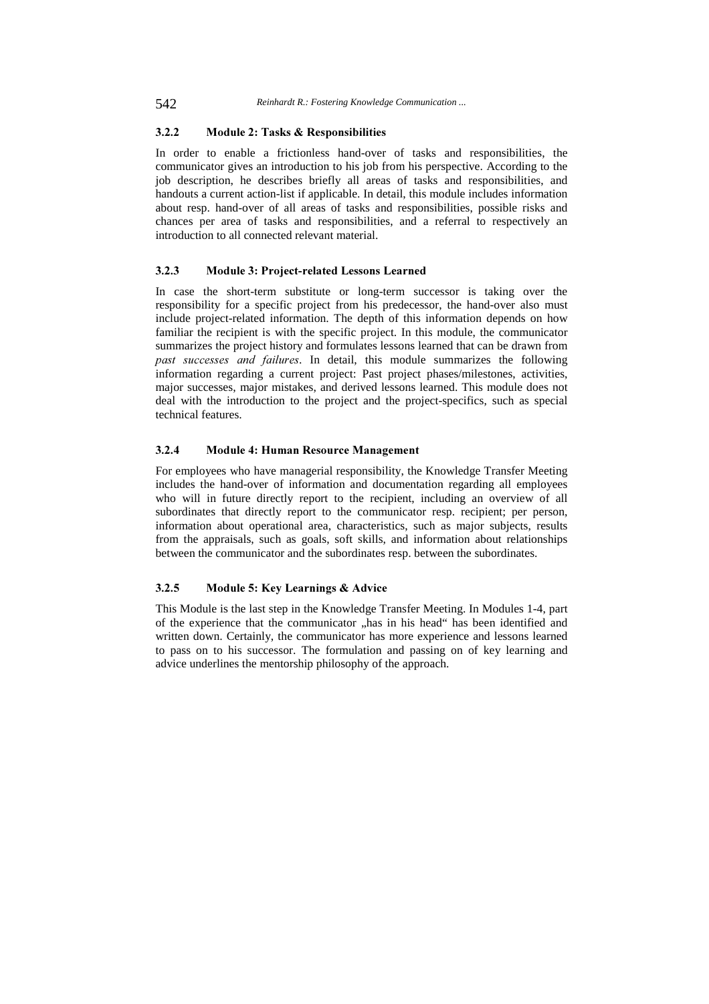### $3.2.2$ Module 2: Tasks & Responsibilities

In order to enable a frictionless hand-over of tasks and responsibilities, the communicator gives an introduction to his job from his perspective. According to the job description, he describes briefly all areas of tasks and responsibilities, and handouts a current action-list if applicable. In detail, this module includes information about resp. hand-over of all areas of tasks and responsibilities, possible risks and chances per area of tasks and responsibilities, and a referral to respectively an introduction to all connected relevant material.

#### $3.2.3$ Module 3: Project-related Lessons Learned

In case the short-term substitute or long-term successor is taking over the responsibility for a specific project from his predecessor, the hand-over also must include project-related information. The depth of this information depends on how familiar the recipient is with the specific project. In this module, the communicator summarizes the project history and formulates lessons learned that can be drawn from past successes and failures. In detail, this module summarizes the following information regarding a current project: Past project phases/milestones, activities, major successes, major mistakes, and derived lessons learned. This module does not deal with the introduction to the project and the project-specifics, such as special technical features.

# $3.2.4$ Module 4: Human Resource Management

For employees who have managerial responsibility, the Knowledge Transfer Meeting includes the hand-over of information and documentation regarding all employees who will in future directly report to the recipient, including an overview of all subordinates that directly report to the communicator resp. recipient; per person, information about operational area, characteristics, such as major subjects, results from the appraisals, such as goals, soft skills, and information about relationships between the communicator and the subordinates resp. between the subordinates.

### $3.2.5$ Module 5: Key Learnings & Advice

This Module is the last step in the Knowledge Transfer Meeting. In Modules 1-4, part of the experience that the communicator "has in his head" has been identified and written down. Certainly, the communicator has more experience and lessons learned to pass on to his successor. The formulation and passing on of key learning and advice underlines the mentorship philosophy of the approach.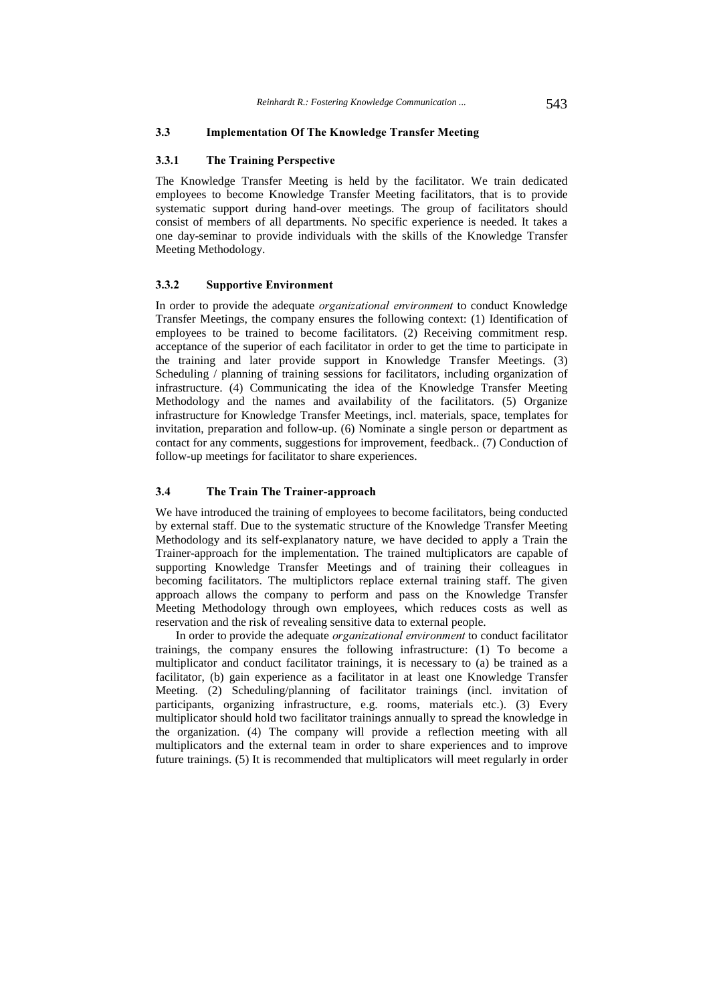#### $3.3$ Implementation Of The Knowledge Transfer Meeting

#### $3.3.1$ **The Training Perspective**

The Knowledge Transfer Meeting is held by the facilitator. We train dedicated employees to become Knowledge Transfer Meeting facilitators, that is to provide systematic support during hand-over meetings. The group of facilitators should consist of members of all departments. No specific experience is needed. It takes a one day-seminar to provide individuals with the skills of the Knowledge Transfer Meeting Methodology.

#### $3.3.2$ **Supportive Environment**

In order to provide the adequate *organizational environment* to conduct Knowledge Transfer Meetings, the company ensures the following context: (1) Identification of employees to be trained to become facilitators. (2) Receiving commitment resp. acceptance of the superior of each facilitator in order to get the time to participate in the training and later provide support in Knowledge Transfer Meetings. (3) Scheduling / planning of training sessions for facilitators, including organization of infrastructure. (4) Communicating the idea of the Knowledge Transfer Meeting Methodology and the names and availability of the facilitators. (5) Organize infrastructure for Knowledge Transfer Meetings, incl. materials, space, templates for invitation, preparation and follow-up. (6) Nominate a single person or department as contact for any comments, suggestions for improvement, feedback.. (7) Conduction of follow-up meetings for facilitator to share experiences.

#### $3.4$ The Train The Trainer-approach

We have introduced the training of employees to become facilitators, being conducted by external staff. Due to the systematic structure of the Knowledge Transfer Meeting Methodology and its self-explanatory nature, we have decided to apply a Train the Trainer-approach for the implementation. The trained multiplicators are capable of supporting Knowledge Transfer Meetings and of training their colleagues in becoming facilitators. The multiplictors replace external training staff. The given approach allows the company to perform and pass on the Knowledge Transfer Meeting Methodology through own employees, which reduces costs as well as reservation and the risk of revealing sensitive data to external people.

In order to provide the adequate *organizational environment* to conduct facilitator trainings, the company ensures the following infrastructure: (1) To become a multiplicator and conduct facilitator trainings, it is necessary to (a) be trained as a facilitator, (b) gain experience as a facilitator in at least one Knowledge Transfer Meeting. (2) Scheduling/planning of facilitator trainings (incl. invitation of participants, organizing infrastructure, e.g. rooms, materials etc.). (3) Every multiplicator should hold two facilitator trainings annually to spread the knowledge in the organization. (4) The company will provide a reflection meeting with all multiplicators and the external team in order to share experiences and to improve future trainings. (5) It is recommended that multiplicators will meet regularly in order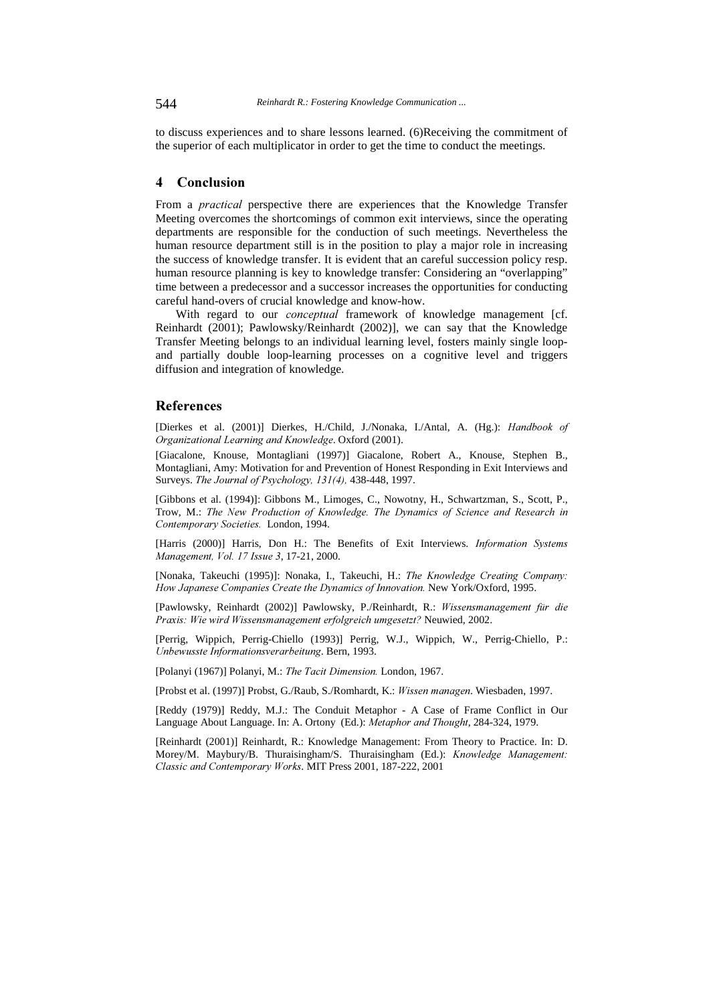to discuss experiences and to share lessons learned. (6)Receiving the commitment of the superior of each multiplicator in order to get the time to conduct the meetings.

# / Conclusion

From a *practical* perspective there are experiences that the Knowledge Transfer Meeting overcomes the shortcomings of common exit interviews, since the operating departments are responsible for the conduction of such meetings. Nevertheless the human resource department still is in the position to play a major role in increasing the success of knowledge transfer. It is evident that an careful succession policy resp. human resource planning is key to knowledge transfer: Considering an "overlapping" time between a predecessor and a successor increases the opportunities for conducting careful hand-overs of crucial knowledge and know-how.

With regard to our *conceptual* framework of knowledge management [cf. Reinhardt (2001); Pawlowsky/Reinhardt (2002)], we can say that the Knowledge Transfer Meeting belongs to an individual learning level, fosters mainly single loopand partially double loop-learning processes on a cognitive level and triggers diffusion and integration of knowledge.

# **References**

[Dierkes et al. (2001)] Dierkes, H./Child, J./Nonaka, I./Antal, A. (Hg.): Handbook of Organizational Learning and Knowledge. Oxford (2001).

[Giacalone, Knouse, Montagliani (1997)] Giacalone, Robert A., Knouse, Stephen B., Montagliani, Amy: Motivation for and Prevention of Honest Responding in Exit Interviews and Surveys. The Journal of Psychology, 131(4), 438-448, 1997.

[Gibbons et al. (1994)]: Gibbons M., Limoges, C., Nowotny, H., Schwartzman, S., Scott, P., Trow, M.: The New Production of Knowledge. The Dynamics of Science and Research in Contemporary Societies. London, 1994.

[Harris (2000)] Harris, Don H.: The Benefits of Exit Interviews. Information Systems Management, Vol. 17 Issue 3, 17-21, 2000.

[Nonaka, Takeuchi (1995)]: Nonaka, I., Takeuchi, H.: The Knowledge Creating Company: How Japanese Companies Create the Dynamics of Innovation. New York/Oxford, 1995.

[Pawlowsky, Reinhardt (2002)] Pawlowsky, P./Reinhardt, R.: Wissensmanagement für die Praxis: Wie wird Wissensmanagement erfolgreich umgesetzt? Neuwied, 2002.

[Perrig, Wippich, Perrig-Chiello (1993)] Perrig, W.J., Wippich, W., Perrig-Chiello, P.: Unbewusste Informationsverarbeitung. Bern, 1993.

[Polanyi (1967)] Polanyi, M.: The Tacit Dimension. London, 1967.

[Probst et al. (1997)] Probst, G./Raub, S./Romhardt, K.: Wissen managen. Wiesbaden, 1997.

[Reddy (1979)] Reddy, M.J.: The Conduit Metaphor - A Case of Frame Conflict in Our Language About Language. In: A. Ortony (Ed.): Metaphor and Thought, 284-324, 1979.

[Reinhardt (2001)] Reinhardt, R.: Knowledge Management: From Theory to Practice. In: D. Morey/M. Maybury/B. Thuraisingham/S. Thuraisingham (Ed.): Knowledge Management: Classic and Contemporary Works. MIT Press 2001, 187-222, 2001